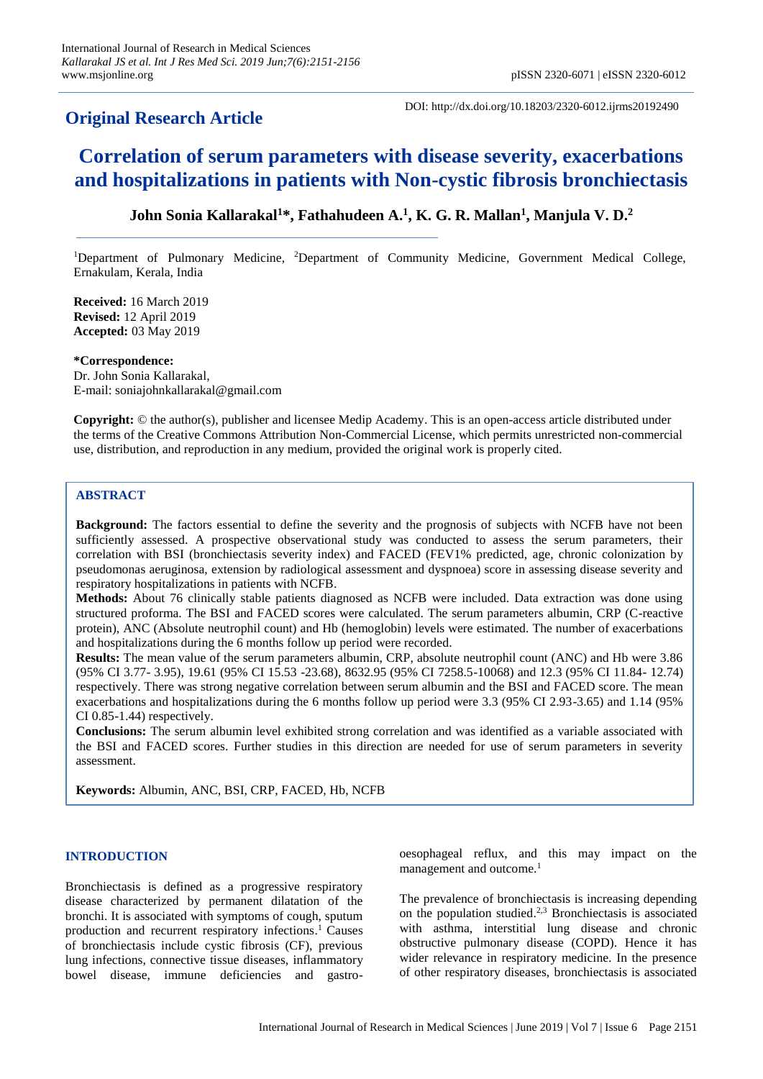# **Original Research Article**

DOI: http://dx.doi.org/10.18203/2320-6012.ijrms20192490

# **Correlation of serum parameters with disease severity, exacerbations and hospitalizations in patients with Non-cystic fibrosis bronchiectasis**

# **John Sonia Kallarakal<sup>1</sup>\*, Fathahudeen A.<sup>1</sup> , K. G. R. Mallan<sup>1</sup> , Manjula V. D.<sup>2</sup>**

<sup>1</sup>Department of Pulmonary Medicine, <sup>2</sup>Department of Community Medicine, Government Medical College, Ernakulam, Kerala, India

**Received:** 16 March 2019 **Revised:** 12 April 2019 **Accepted:** 03 May 2019

**\*Correspondence:** Dr. John Sonia Kallarakal, E-mail: soniajohnkallarakal@gmail.com

**Copyright:** © the author(s), publisher and licensee Medip Academy. This is an open-access article distributed under the terms of the Creative Commons Attribution Non-Commercial License, which permits unrestricted non-commercial use, distribution, and reproduction in any medium, provided the original work is properly cited.

# **ABSTRACT**

**Background:** The factors essential to define the severity and the prognosis of subjects with NCFB have not been sufficiently assessed. A prospective observational study was conducted to assess the serum parameters, their correlation with BSI (bronchiectasis severity index) and FACED (FEV1% predicted, age, chronic colonization by pseudomonas aeruginosa, extension by radiological assessment and dyspnoea) score in assessing disease severity and respiratory hospitalizations in patients with NCFB.

**Methods:** About 76 clinically stable patients diagnosed as NCFB were included. Data extraction was done using structured proforma. The BSI and FACED scores were calculated. The serum parameters albumin, CRP (C-reactive protein), ANC (Absolute neutrophil count) and Hb (hemoglobin) levels were estimated. The number of exacerbations and hospitalizations during the 6 months follow up period were recorded.

**Results:** The mean value of the serum parameters albumin, CRP, absolute neutrophil count (ANC) and Hb were 3.86 (95% CI 3.77- 3.95), 19.61 (95% CI 15.53 -23.68), 8632.95 (95% CI 7258.5-10068) and 12.3 (95% CI 11.84- 12.74) respectively. There was strong negative correlation between serum albumin and the BSI and FACED score. The mean exacerbations and hospitalizations during the 6 months follow up period were 3.3 (95% CI 2.93-3.65) and 1.14 (95% CI 0.85-1.44) respectively.

**Conclusions:** The serum albumin level exhibited strong correlation and was identified as a variable associated with the BSI and FACED scores. Further studies in this direction are needed for use of serum parameters in severity assessment.

**Keywords:** Albumin, ANC, BSI, CRP, FACED, Hb, NCFB

# **INTRODUCTION**

Bronchiectasis is defined as a progressive respiratory disease characterized by permanent dilatation of the bronchi. It is associated with symptoms of cough, sputum production and recurrent respiratory infections. <sup>1</sup>Causes of bronchiectasis include cystic fibrosis (CF), previous lung infections, connective tissue diseases, inflammatory bowel disease, immune deficiencies and gastrooesophageal reflux, and this may impact on the management and outcome.<sup>1</sup>

The prevalence of bronchiectasis is increasing depending on the population studied. 2,3 Bronchiectasis is associated with asthma, interstitial lung disease and chronic obstructive pulmonary disease (COPD). Hence it has wider relevance in respiratory medicine. In the presence of other respiratory diseases, bronchiectasis is associated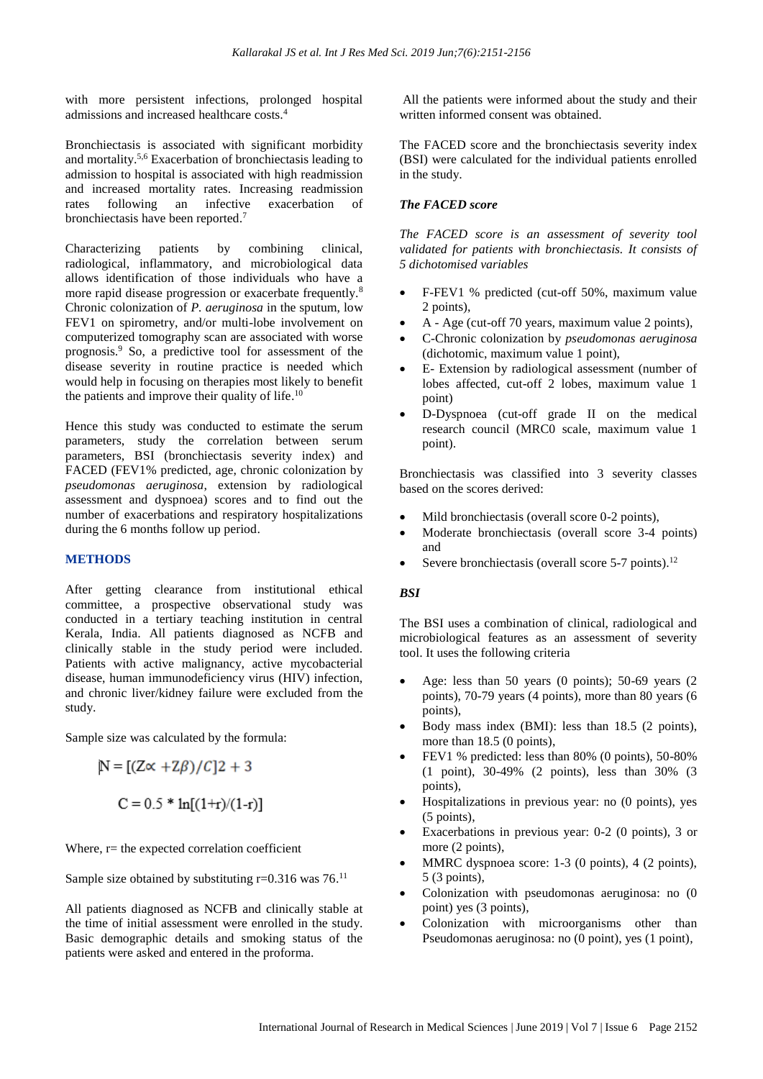with more persistent infections, prolonged hospital admissions and increased healthcare costs.<sup>4</sup>

Bronchiectasis is associated with significant morbidity and mortality.5,6 Exacerbation of bronchiectasis leading to admission to hospital is associated with high readmission and increased mortality rates. Increasing readmission rates following an infective exacerbation of bronchiectasis have been reported. 7

Characterizing patients by combining clinical, radiological, inflammatory, and microbiological data allows identification of those individuals who have a more rapid disease progression or exacerbate frequently.<sup>8</sup> Chronic colonization of *P. aeruginosa* in the sputum, low FEV1 on spirometry, and/or multi-lobe involvement on computerized tomography scan are associated with worse prognosis.<sup>9</sup> So, a predictive tool for assessment of the disease severity in routine practice is needed which would help in focusing on therapies most likely to benefit the patients and improve their quality of life. $10$ 

Hence this study was conducted to estimate the serum parameters, study the correlation between serum parameters, BSI (bronchiectasis severity index) and FACED (FEV1% predicted, age, chronic colonization by *pseudomonas aeruginosa*, extension by radiological assessment and dyspnoea) scores and to find out the number of exacerbations and respiratory hospitalizations during the 6 months follow up period.

# **METHODS**

After getting clearance from institutional ethical committee, a prospective observational study was conducted in a tertiary teaching institution in central Kerala, India. All patients diagnosed as NCFB and clinically stable in the study period were included. Patients with active malignancy, active mycobacterial disease, human immunodeficiency virus (HIV) infection, and chronic liver/kidney failure were excluded from the study.

Sample size was calculated by the formula:

$$
N = [(Z \propto +Z\beta)/C]2 + 3
$$
  
C = 0.5 \* ln[(1+r)/(1-r)]

Where,  $r=$  the expected correlation coefficient

Sample size obtained by substituting  $r=0.316$  was  $76$ .<sup>11</sup>

All patients diagnosed as NCFB and clinically stable at the time of initial assessment were enrolled in the study. Basic demographic details and smoking status of the patients were asked and entered in the proforma.

All the patients were informed about the study and their written informed consent was obtained.

The FACED score and the bronchiectasis severity index (BSI) were calculated for the individual patients enrolled in the study.

#### *The FACED score*

*The FACED score is an assessment of severity tool validated for patients with bronchiectasis. It consists of 5 dichotomised variables*

- F-FEV1 % predicted (cut-off 50%, maximum value 2 points),
- A Age (cut-off 70 years, maximum value 2 points),
- C-Chronic colonization by *pseudomonas aeruginosa* (dichotomic, maximum value 1 point),
- E- Extension by radiological assessment (number of lobes affected, cut-off 2 lobes, maximum value 1 point)
- D-Dyspnoea (cut-off grade II on the medical research council (MRC0 scale, maximum value 1 point).

Bronchiectasis was classified into 3 severity classes based on the scores derived:

- Mild bronchiectasis (overall score 0-2 points),
- Moderate bronchiectasis (overall score 3-4 points) and
- Severe bronchiectasis (overall score  $5-7$  points).<sup>12</sup>

# *BSI*

The BSI uses a combination of clinical, radiological and microbiological features as an assessment of severity tool. It uses the following criteria

- Age: less than 50 years  $(0 \text{ points})$ ; 50-69 years  $(2 \text{ points})$ points), 70-79 years (4 points), more than 80 years (6 points),
- Body mass index (BMI): less than 18.5 (2 points), more than 18.5 (0 points),
- FEV1 % predicted: less than 80% (0 points), 50-80% (1 point), 30-49% (2 points), less than 30% (3 points),
- Hospitalizations in previous year: no (0 points), yes (5 points),
- Exacerbations in previous year: 0-2 (0 points), 3 or more (2 points),
- MMRC dyspnoea score: 1-3 (0 points), 4 (2 points), 5 (3 points),
- Colonization with pseudomonas aeruginosa: no (0 point) yes (3 points),
- Colonization with microorganisms other than Pseudomonas aeruginosa: no (0 point), yes (1 point),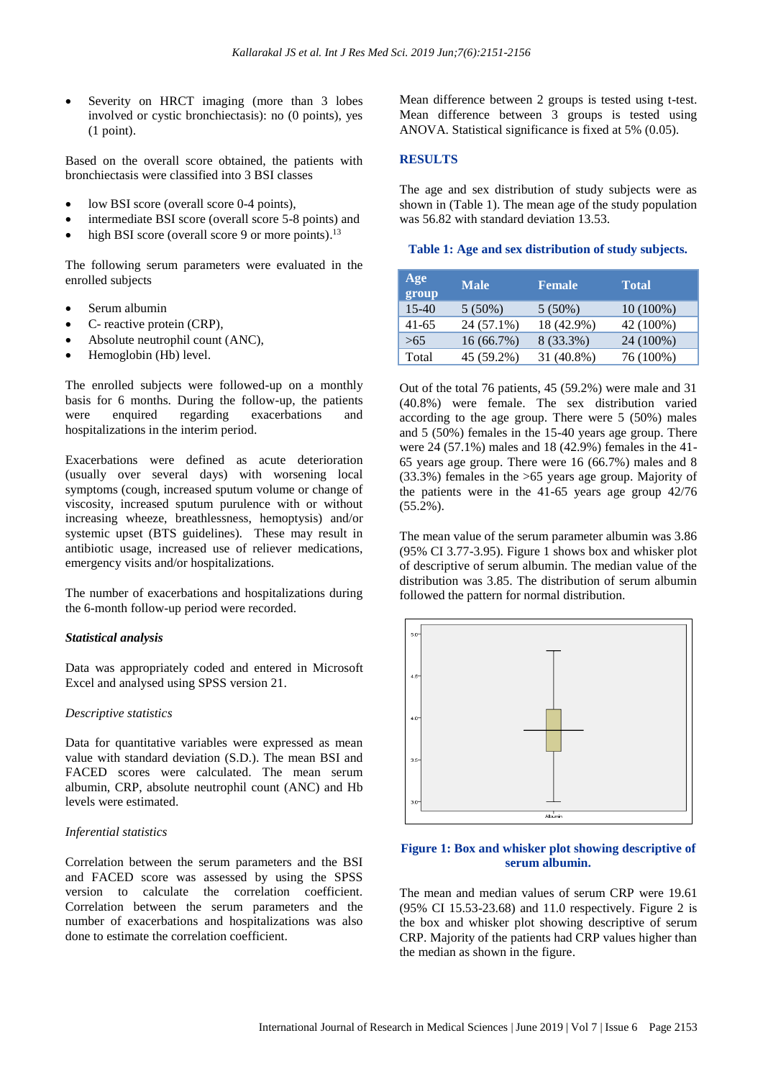Severity on HRCT imaging (more than 3 lobes involved or cystic bronchiectasis): no (0 points), yes (1 point).

Based on the overall score obtained, the patients with bronchiectasis were classified into 3 BSI classes

- low BSI score (overall score 0-4 points),
- intermediate BSI score (overall score 5-8 points) and
- high BSI score (overall score 9 or more points).<sup>13</sup>

The following serum parameters were evaluated in the enrolled subjects

- Serum albumin
- C- reactive protein (CRP),
- Absolute neutrophil count (ANC),
- Hemoglobin (Hb) level.

The enrolled subjects were followed-up on a monthly basis for 6 months. During the follow-up, the patients were enquired regarding exacerbations and hospitalizations in the interim period.

Exacerbations were defined as acute deterioration (usually over several days) with worsening local symptoms (cough, increased sputum volume or change of viscosity, increased sputum purulence with or without increasing wheeze, breathlessness, hemoptysis) and/or systemic upset (BTS guidelines). These may result in antibiotic usage, increased use of reliever medications, emergency visits and/or hospitalizations.

The number of exacerbations and hospitalizations during the 6-month follow-up period were recorded.

#### *Statistical analysis*

Data was appropriately coded and entered in Microsoft Excel and analysed using SPSS version 21.

#### *Descriptive statistics*

Data for quantitative variables were expressed as mean value with standard deviation (S.D.). The mean BSI and FACED scores were calculated. The mean serum albumin, CRP, absolute neutrophil count (ANC) and Hb levels were estimated.

#### *Inferential statistics*

Correlation between the serum parameters and the BSI and FACED score was assessed by using the SPSS version to calculate the correlation coefficient. Correlation between the serum parameters and the number of exacerbations and hospitalizations was also done to estimate the correlation coefficient.

Mean difference between 2 groups is tested using t-test. Mean difference between 3 groups is tested using ANOVA. Statistical significance is fixed at 5% (0.05).

# **RESULTS**

The age and sex distribution of study subjects were as shown in (Table 1). The mean age of the study population was 56.82 with standard deviation 13.53.

#### **Table 1: Age and sex distribution of study subjects.**

| Age<br>group | <b>Male</b> | <b>Female</b> | <b>Total</b> |
|--------------|-------------|---------------|--------------|
| $15-40$      | $5(50\%)$   | $5(50\%)$     | $10(100\%)$  |
| $41-65$      | 24 (57.1%)  | 18 (42.9%)    | 42 (100%)    |
| >65          | 16(66.7%)   | 8 (33.3%)     | 24 (100%)    |
| Total        | 45 (59.2%)  | 31 (40.8%)    | 76 (100%)    |

Out of the total 76 patients, 45 (59.2%) were male and 31 (40.8%) were female. The sex distribution varied according to the age group. There were 5 (50%) males and 5 (50%) females in the 15-40 years age group. There were 24 (57.1%) males and 18 (42.9%) females in the 41- 65 years age group. There were 16 (66.7%) males and 8 (33.3%) females in the >65 years age group. Majority of the patients were in the 41-65 years age group 42/76 (55.2%).

The mean value of the serum parameter albumin was 3.86 (95% CI 3.77-3.95). Figure 1 shows box and whisker plot of descriptive of serum albumin. The median value of the distribution was 3.85. The distribution of serum albumin followed the pattern for normal distribution.



# **Figure 1: Box and whisker plot showing descriptive of serum albumin.**

The mean and median values of serum CRP were 19.61 (95% CI 15.53-23.68) and 11.0 respectively. Figure 2 is the box and whisker plot showing descriptive of serum CRP. Majority of the patients had CRP values higher than the median as shown in the figure.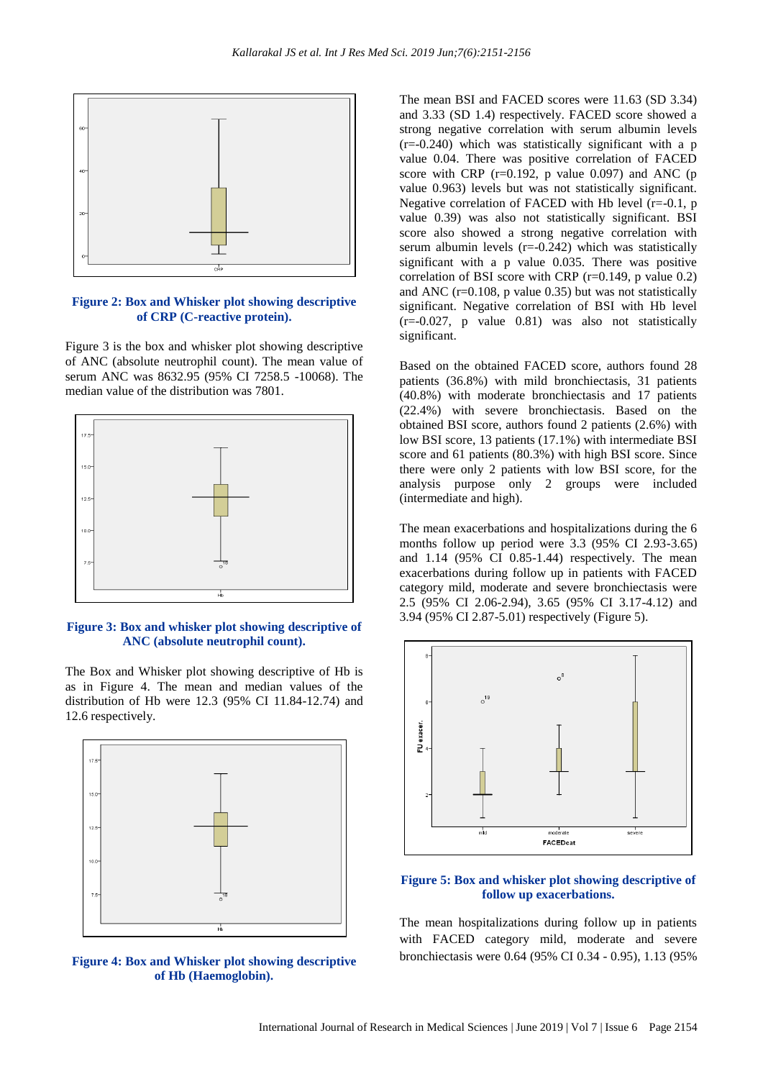

#### **Figure 2: Box and Whisker plot showing descriptive of CRP (C-reactive protein).**

Figure 3 is the box and whisker plot showing descriptive of ANC (absolute neutrophil count). The mean value of serum ANC was 8632.95 (95% CI 7258.5 -10068). The median value of the distribution was 7801.



#### **Figure 3: Box and whisker plot showing descriptive of ANC (absolute neutrophil count).**

The Box and Whisker plot showing descriptive of Hb is as in Figure 4. The mean and median values of the distribution of Hb were 12.3 (95% CI 11.84-12.74) and 12.6 respectively.



**Figure 4: Box and Whisker plot showing descriptive of Hb (Haemoglobin).**

The mean BSI and FACED scores were 11.63 (SD 3.34) and 3.33 (SD 1.4) respectively. FACED score showed a strong negative correlation with serum albumin levels  $(r=-0.240)$  which was statistically significant with a p value 0.04. There was positive correlation of FACED score with CRP  $(r=0.192, p$  value 0.097) and ANC  $(p)$ value 0.963) levels but was not statistically significant. Negative correlation of FACED with Hb level (r=-0.1, p value 0.39) was also not statistically significant. BSI score also showed a strong negative correlation with serum albumin levels (r=-0.242) which was statistically significant with a p value 0.035. There was positive correlation of BSI score with CRP ( $r=0.149$ , p value 0.2) and ANC ( $r=0.108$ , p value 0.35) but was not statistically significant. Negative correlation of BSI with Hb level (r=-0.027, p value 0.81) was also not statistically significant.

Based on the obtained FACED score, authors found 28 patients (36.8%) with mild bronchiectasis, 31 patients (40.8%) with moderate bronchiectasis and 17 patients (22.4%) with severe bronchiectasis. Based on the obtained BSI score, authors found 2 patients (2.6%) with low BSI score, 13 patients (17.1%) with intermediate BSI score and 61 patients (80.3%) with high BSI score. Since there were only 2 patients with low BSI score, for the analysis purpose only 2 groups were included (intermediate and high).

The mean exacerbations and hospitalizations during the 6 months follow up period were 3.3 (95% CI 2.93-3.65) and 1.14 (95% CI 0.85-1.44) respectively. The mean exacerbations during follow up in patients with FACED category mild, moderate and severe bronchiectasis were 2.5 (95% CI 2.06-2.94), 3.65 (95% CI 3.17-4.12) and 3.94 (95% CI 2.87-5.01) respectively (Figure 5).



### **Figure 5: Box and whisker plot showing descriptive of follow up exacerbations.**

The mean hospitalizations during follow up in patients with FACED category mild, moderate and severe bronchiectasis were 0.64 (95% CI 0.34 - 0.95), 1.13 (95%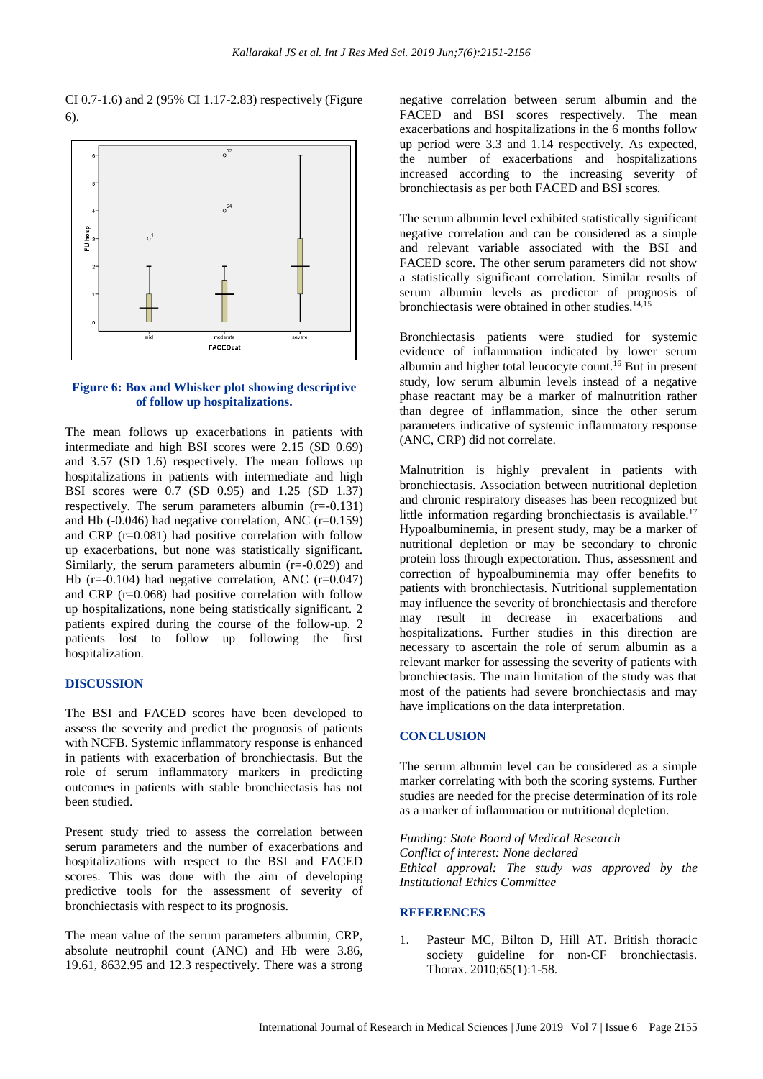CI 0.7-1.6) and 2 (95% CI 1.17-2.83) respectively (Figure 6).



# **Figure 6: Box and Whisker plot showing descriptive of follow up hospitalizations.**

The mean follows up exacerbations in patients with intermediate and high BSI scores were 2.15 (SD 0.69) and 3.57 (SD 1.6) respectively. The mean follows up hospitalizations in patients with intermediate and high BSI scores were 0.7 (SD 0.95) and 1.25 (SD 1.37) respectively. The serum parameters albumin (r=-0.131) and Hb  $(-0.046)$  had negative correlation, ANC  $(r=0.159)$ and CRP (r=0.081) had positive correlation with follow up exacerbations, but none was statistically significant. Similarly, the serum parameters albumin  $(r=-0.029)$  and Hb ( $r=0.104$ ) had negative correlation, ANC ( $r=0.047$ ) and CRP (r=0.068) had positive correlation with follow up hospitalizations, none being statistically significant. 2 patients expired during the course of the follow-up. 2 patients lost to follow up following the first hospitalization.

#### **DISCUSSION**

The BSI and FACED scores have been developed to assess the severity and predict the prognosis of patients with NCFB. Systemic inflammatory response is enhanced in patients with exacerbation of bronchiectasis. But the role of serum inflammatory markers in predicting outcomes in patients with stable bronchiectasis has not been studied.

Present study tried to assess the correlation between serum parameters and the number of exacerbations and hospitalizations with respect to the BSI and FACED scores. This was done with the aim of developing predictive tools for the assessment of severity of bronchiectasis with respect to its prognosis.

The mean value of the serum parameters albumin, CRP, absolute neutrophil count (ANC) and Hb were 3.86, 19.61, 8632.95 and 12.3 respectively. There was a strong

negative correlation between serum albumin and the FACED and BSI scores respectively. The mean exacerbations and hospitalizations in the 6 months follow up period were 3.3 and 1.14 respectively. As expected, the number of exacerbations and hospitalizations increased according to the increasing severity of bronchiectasis as per both FACED and BSI scores.

The serum albumin level exhibited statistically significant negative correlation and can be considered as a simple and relevant variable associated with the BSI and FACED score. The other serum parameters did not show a statistically significant correlation. Similar results of serum albumin levels as predictor of prognosis of bronchiectasis were obtained in other studies.14,15

Bronchiectasis patients were studied for systemic evidence of inflammation indicated by lower serum albumin and higher total leucocyte count. <sup>16</sup> But in present study, low serum albumin levels instead of a negative phase reactant may be a marker of malnutrition rather than degree of inflammation, since the other serum parameters indicative of systemic inflammatory response (ANC, CRP) did not correlate.

Malnutrition is highly prevalent in patients with bronchiectasis. Association between nutritional depletion and chronic respiratory diseases has been recognized but little information regarding bronchiectasis is available. 17 Hypoalbuminemia, in present study, may be a marker of nutritional depletion or may be secondary to chronic protein loss through expectoration. Thus, assessment and correction of hypoalbuminemia may offer benefits to patients with bronchiectasis. Nutritional supplementation may influence the severity of bronchiectasis and therefore may result in decrease in exacerbations and hospitalizations. Further studies in this direction are necessary to ascertain the role of serum albumin as a relevant marker for assessing the severity of patients with bronchiectasis. The main limitation of the study was that most of the patients had severe bronchiectasis and may have implications on the data interpretation.

#### **CONCLUSION**

The serum albumin level can be considered as a simple marker correlating with both the scoring systems. Further studies are needed for the precise determination of its role as a marker of inflammation or nutritional depletion.

*Funding: State Board of Medical Research Conflict of interest: None declared Ethical approval: The study was approved by the Institutional Ethics Committee*

#### **REFERENCES**

1. Pasteur MC, Bilton D, Hill AT. British thoracic society guideline for non-CF bronchiectasis. Thorax. 2010;65(1):1-58.